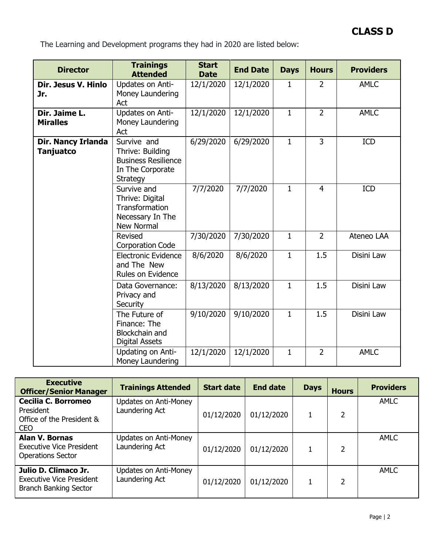The Learning and Development programs they had in 2020 are listed below:

| <b>Director</b>                        | <b>Trainings</b><br><b>Attended</b>                                                                  | <b>Start</b><br><b>Date</b> | <b>End Date</b> | <b>Days</b>  | <b>Hours</b>   | <b>Providers</b> |
|----------------------------------------|------------------------------------------------------------------------------------------------------|-----------------------------|-----------------|--------------|----------------|------------------|
| Dir. Jesus V. Hinlo<br>Jr.             | Updates on Anti-<br>Money Laundering<br>Act                                                          | 12/1/2020                   | 12/1/2020       | 1            | $\overline{2}$ | <b>AMLC</b>      |
| Dir. Jaime L.<br><b>Miralles</b>       | Updates on Anti-<br>Money Laundering<br>Act                                                          | 12/1/2020                   | 12/1/2020       | $\mathbf{1}$ | $\overline{2}$ | <b>AMLC</b>      |
| Dir. Nancy Irlanda<br><b>Tanjuatco</b> | Survive and<br>Thrive: Building<br><b>Business Resilience</b><br>In The Corporate<br><b>Strategy</b> | 6/29/2020                   | 6/29/2020       | $\mathbf{1}$ | $\overline{3}$ | <b>ICD</b>       |
|                                        | Survive and<br>Thrive: Digital<br><b>Transformation</b><br>Necessary In The<br>New Normal            | 7/7/2020                    | 7/7/2020        | $\mathbf{1}$ | $\overline{4}$ | <b>ICD</b>       |
|                                        | Revised<br><b>Corporation Code</b>                                                                   | 7/30/2020                   | 7/30/2020       | $\mathbf{1}$ | $\overline{2}$ | Ateneo LAA       |
|                                        | <b>Electronic Evidence</b><br>and The New<br>Rules on Evidence                                       | 8/6/2020                    | 8/6/2020        | $\mathbf{1}$ | 1.5            | Disini Law       |
|                                        | Data Governance:<br>Privacy and<br>Security                                                          | 8/13/2020                   | 8/13/2020       | $\mathbf{1}$ | 1.5            | Disini Law       |
|                                        | The Future of<br>Finance: The<br>Blockchain and<br><b>Digital Assets</b>                             | 9/10/2020                   | 9/10/2020       | $\mathbf{1}$ | 1.5            | Disini Law       |
|                                        | Updating on Anti-<br>Money Laundering                                                                | 12/1/2020                   | 12/1/2020       | $\mathbf{1}$ | $\overline{2}$ | <b>AMLC</b>      |

| <b>Executive</b><br><b>Officer/Senior Manager</b>                                       | <b>Trainings Attended</b>               | <b>Start date</b> | <b>End date</b> | <b>Days</b> | <b>Hours</b> | <b>Providers</b> |
|-----------------------------------------------------------------------------------------|-----------------------------------------|-------------------|-----------------|-------------|--------------|------------------|
| Cecilia C. Borromeo<br>President<br>Office of the President &<br><b>CEO</b>             | Updates on Anti-Money<br>Laundering Act | 01/12/2020        | 01/12/2020      |             | 2            | <b>AMLC</b>      |
| <b>Alan V. Bornas</b><br><b>Executive Vice President</b><br><b>Operations Sector</b>    | Updates on Anti-Money<br>Laundering Act | 01/12/2020        | 01/12/2020      |             | 2            | <b>AMLC</b>      |
| Julio D. Climaco Jr.<br><b>Executive Vice President</b><br><b>Branch Banking Sector</b> | Updates on Anti-Money<br>Laundering Act | 01/12/2020        | 01/12/2020      |             |              | <b>AMLC</b>      |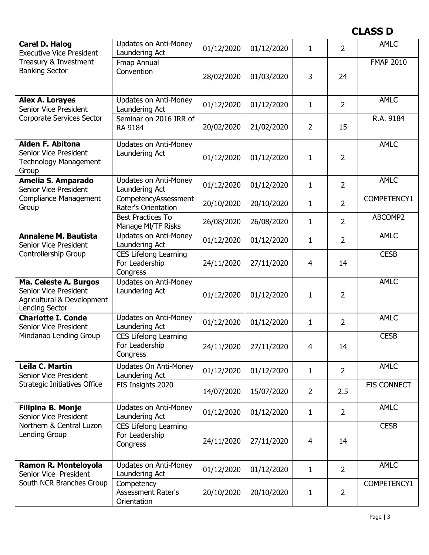| <b>Carel D. Halog</b><br><b>Executive Vice President</b>                                              | <b>Updates on Anti-Money</b><br>Laundering Act             | 01/12/2020 | 01/12/2020 | $\mathbf{1}$   | $\overline{2}$ | <b>AMLC</b>      |
|-------------------------------------------------------------------------------------------------------|------------------------------------------------------------|------------|------------|----------------|----------------|------------------|
| Treasury & Investment<br><b>Banking Sector</b>                                                        | Fmap Annual<br>Convention                                  | 28/02/2020 | 01/03/2020 | 3              | 24             | <b>FMAP 2010</b> |
| Alex A. Lorayes<br>Senior Vice President                                                              | <b>Updates on Anti-Money</b><br>Laundering Act             | 01/12/2020 | 01/12/2020 | $\mathbf{1}$   | $\overline{2}$ | <b>AMLC</b>      |
| <b>Corporate Services Sector</b>                                                                      | Seminar on 2016 IRR of<br>RA 9184                          | 20/02/2020 | 21/02/2020 | $\overline{2}$ | 15             | R.A. 9184        |
| <b>Alden F. Abitona</b><br>Senior Vice President<br><b>Technology Management</b><br>Group             | <b>Updates on Anti-Money</b><br>Laundering Act             | 01/12/2020 | 01/12/2020 | $\mathbf{1}$   | $\overline{2}$ | <b>AMLC</b>      |
| Amelia S. Amparado<br>Senior Vice President                                                           | <b>Updates on Anti-Money</b><br>Laundering Act             | 01/12/2020 | 01/12/2020 | $\mathbf{1}$   | $\overline{2}$ | <b>AMLC</b>      |
| <b>Compliance Management</b><br>Group                                                                 | CompetencyAssessment<br>Rater's Orientation                | 20/10/2020 | 20/10/2020 | 1              | $\overline{2}$ | COMPETENCY1      |
|                                                                                                       | <b>Best Practices To</b><br>Manage MI/TF Risks             | 26/08/2020 | 26/08/2020 | $\mathbf{1}$   | $\overline{2}$ | ABCOMP2          |
| <b>Annalene M. Bautista</b><br>Senior Vice President                                                  | <b>Updates on Anti-Money</b><br>Laundering Act             | 01/12/2020 | 01/12/2020 | $\mathbf{1}$   | $\overline{2}$ | <b>AMLC</b>      |
| Controllership Group                                                                                  | <b>CES Lifelong Learning</b><br>For Leadership<br>Congress | 24/11/2020 | 27/11/2020 | 4              | 14             | <b>CESB</b>      |
| Ma. Celeste A. Burgos<br>Senior Vice President<br>Agricultural & Development<br><b>Lending Sector</b> | <b>Updates on Anti-Money</b><br>Laundering Act             | 01/12/2020 | 01/12/2020 | $\mathbf{1}$   | $\overline{2}$ | <b>AMLC</b>      |
| <b>Charlotte I. Conde</b><br>Senior Vice President                                                    | Updates on Anti-Money<br>Laundering Act                    | 01/12/2020 | 01/12/2020 | $\mathbf{1}$   | $\overline{2}$ | <b>AMLC</b>      |
| Mindanao Lending Group                                                                                | <b>CES Lifelong Learning</b><br>For Leadership<br>Congress | 24/11/2020 | 27/11/2020 | 4              | 14             | <b>CESB</b>      |
| Leila C. Martin<br>Senior Vice President                                                              | Updates On Anti-Money<br>Laundering Act                    | 01/12/2020 | 01/12/2020 | $\mathbf{1}$   | $\overline{2}$ | <b>AMLC</b>      |
| <b>Strategic Initiatives Office</b>                                                                   | FIS Insights 2020                                          | 14/07/2020 | 15/07/2020 | $\overline{2}$ | 2.5            | FIS CONNECT      |
| Filipina B. Monje<br>Senior Vice President                                                            | <b>Updates on Anti-Money</b><br>Laundering Act             | 01/12/2020 | 01/12/2020 | $\mathbf{1}$   | $\overline{2}$ | <b>AMLC</b>      |
| Northern & Central Luzon<br>Lending Group                                                             | <b>CES Lifelong Learning</b><br>For Leadership<br>Congress | 24/11/2020 | 27/11/2020 | 4              | 14             | <b>CESB</b>      |
| Ramon R. Monteloyola<br>Senior Vice President                                                         | <b>Updates on Anti-Money</b><br>Laundering Act             | 01/12/2020 | 01/12/2020 | $\mathbf{1}$   | $\overline{2}$ | <b>AMLC</b>      |
| South NCR Branches Group                                                                              | Competency<br>Assessment Rater's<br>Orientation            | 20/10/2020 | 20/10/2020 | $\mathbf{1}$   | $\overline{2}$ | COMPETENCY1      |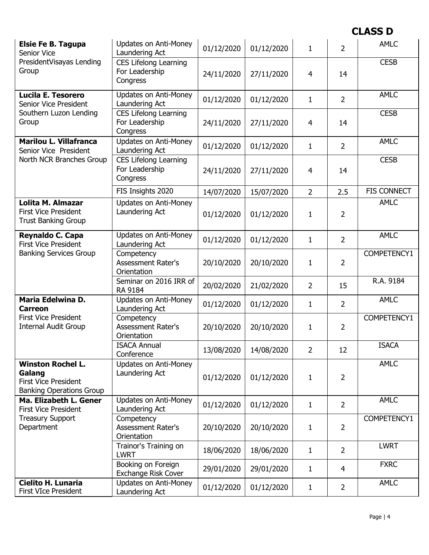| <b>Elsie Fe B. Tagupa</b><br>Senior Vice                                                             | <b>Updates on Anti-Money</b><br>Laundering Act             | 01/12/2020 | 01/12/2020 | $\mathbf{1}$   | $\overline{2}$ | <b>AMLC</b>        |
|------------------------------------------------------------------------------------------------------|------------------------------------------------------------|------------|------------|----------------|----------------|--------------------|
| PresidentVisayas Lending<br>Group                                                                    | <b>CES Lifelong Learning</b><br>For Leadership<br>Congress | 24/11/2020 | 27/11/2020 | 4              | 14             | <b>CESB</b>        |
| <b>Lucila E. Tesorero</b><br>Senior Vice President                                                   | <b>Updates on Anti-Money</b><br>Laundering Act             | 01/12/2020 | 01/12/2020 | $\mathbf{1}$   | $\overline{2}$ | <b>AMLC</b>        |
| Southern Luzon Lending<br>Group                                                                      | <b>CES Lifelong Learning</b><br>For Leadership<br>Congress | 24/11/2020 | 27/11/2020 | $\overline{4}$ | 14             | <b>CESB</b>        |
| <b>Marilou L. Villafranca</b><br>Senior Vice President                                               | <b>Updates on Anti-Money</b><br>Laundering Act             | 01/12/2020 | 01/12/2020 | $\mathbf{1}$   | $\overline{2}$ | <b>AMLC</b>        |
| North NCR Branches Group                                                                             | <b>CES Lifelong Learning</b><br>For Leadership<br>Congress | 24/11/2020 | 27/11/2020 | 4              | 14             | <b>CESB</b>        |
|                                                                                                      | FIS Insights 2020                                          | 14/07/2020 | 15/07/2020 | $\overline{2}$ | 2.5            | <b>FIS CONNECT</b> |
| Lolita M. Almazar<br><b>First Vice President</b><br><b>Trust Banking Group</b>                       | <b>Updates on Anti-Money</b><br>Laundering Act             | 01/12/2020 | 01/12/2020 | $\mathbf{1}$   | $\overline{2}$ | <b>AMLC</b>        |
| Reynaldo C. Capa<br><b>First Vice President</b>                                                      | <b>Updates on Anti-Money</b><br>Laundering Act             | 01/12/2020 | 01/12/2020 | $\mathbf{1}$   | $\overline{2}$ | <b>AMLC</b>        |
| <b>Banking Services Group</b>                                                                        | Competency<br><b>Assessment Rater's</b><br>Orientation     | 20/10/2020 | 20/10/2020 | $\mathbf{1}$   | $\overline{2}$ | COMPETENCY1        |
|                                                                                                      | Seminar on 2016 IRR of<br>RA 9184                          | 20/02/2020 | 21/02/2020 | $\overline{2}$ | 15             | R.A. 9184          |
| Maria Edelwina D.<br>Carreon                                                                         | <b>Updates on Anti-Money</b><br>Laundering Act             | 01/12/2020 | 01/12/2020 | $\mathbf{1}$   | $\overline{2}$ | <b>AMLC</b>        |
| <b>First Vice President</b><br><b>Internal Audit Group</b>                                           | Competency<br><b>Assessment Rater's</b><br>Orientation     | 20/10/2020 | 20/10/2020 | $\mathbf{1}$   | $\overline{2}$ | COMPETENCY1        |
|                                                                                                      | <b>ISACA Annual</b><br>Conference                          | 13/08/2020 | 14/08/2020 | 2              | 12             | <b>ISACA</b>       |
| <b>Winston Rochel L.</b><br>Galang<br><b>First Vice President</b><br><b>Banking Operations Group</b> | <b>Updates on Anti-Money</b><br>Laundering Act             | 01/12/2020 | 01/12/2020 | 1              | $\overline{2}$ | <b>AMLC</b>        |
| Ma. Elizabeth L. Gener<br><b>First Vice President</b>                                                | <b>Updates on Anti-Money</b><br>Laundering Act             | 01/12/2020 | 01/12/2020 | $\mathbf{1}$   | $\overline{2}$ | <b>AMLC</b>        |
| <b>Treasury Support</b><br>Department                                                                | Competency<br><b>Assessment Rater's</b><br>Orientation     | 20/10/2020 | 20/10/2020 | $\mathbf{1}$   | $\overline{2}$ | COMPETENCY1        |
|                                                                                                      | Trainor's Training on<br><b>LWRT</b>                       | 18/06/2020 | 18/06/2020 | $\mathbf{1}$   | $\overline{2}$ | <b>LWRT</b>        |
|                                                                                                      | Booking on Foreign<br><b>Exchange Risk Cover</b>           | 29/01/2020 | 29/01/2020 | $\mathbf{1}$   | $\overline{4}$ | <b>FXRC</b>        |
| <b>Cielito H. Lunaria</b><br><b>First VIce President</b>                                             | <b>Updates on Anti-Money</b><br>Laundering Act             | 01/12/2020 | 01/12/2020 | $\mathbf{1}$   | $\overline{2}$ | <b>AMLC</b>        |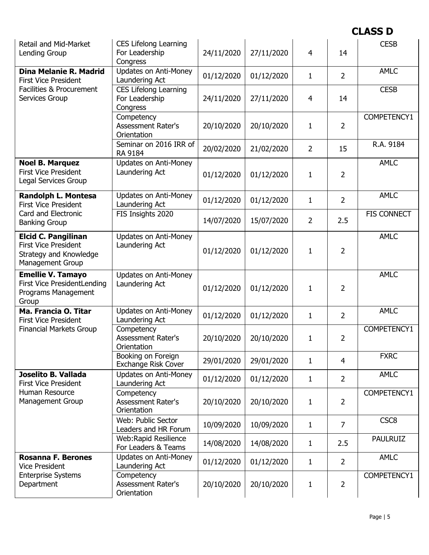| Retail and Mid-Market<br>Lending Group                                                                         | <b>CES Lifelong Learning</b><br>For Leadership<br>Congress | 24/11/2020 | 27/11/2020 | 4              | 14             | <b>CESB</b>        |
|----------------------------------------------------------------------------------------------------------------|------------------------------------------------------------|------------|------------|----------------|----------------|--------------------|
| Dina Melanie R. Madrid<br><b>First Vice President</b>                                                          | <b>Updates on Anti-Money</b><br>Laundering Act             | 01/12/2020 | 01/12/2020 | 1              | $\overline{2}$ | <b>AMLC</b>        |
| Facilities & Procurement<br>Services Group                                                                     | <b>CES Lifelong Learning</b><br>For Leadership<br>Congress | 24/11/2020 | 27/11/2020 | 4              | 14             | <b>CESB</b>        |
|                                                                                                                | Competency<br><b>Assessment Rater's</b><br>Orientation     | 20/10/2020 | 20/10/2020 | 1              | $\overline{2}$ | COMPETENCY1        |
|                                                                                                                | Seminar on 2016 IRR of<br>RA 9184                          | 20/02/2020 | 21/02/2020 | $\overline{2}$ | 15             | R.A. 9184          |
| <b>Noel B. Marquez</b><br><b>First Vice President</b><br>Legal Services Group                                  | <b>Updates on Anti-Money</b><br>Laundering Act             | 01/12/2020 | 01/12/2020 | 1              | 2              | <b>AMLC</b>        |
| <b>Randolph L. Montesa</b><br><b>First Vice President</b>                                                      | <b>Updates on Anti-Money</b><br>Laundering Act             | 01/12/2020 | 01/12/2020 | $\mathbf{1}$   | $\overline{2}$ | <b>AMLC</b>        |
| Card and Electronic<br><b>Banking Group</b>                                                                    | FIS Insights 2020                                          | 14/07/2020 | 15/07/2020 | $\overline{2}$ | 2.5            | <b>FIS CONNECT</b> |
| <b>Elcid C. Pangilinan</b><br><b>First Vice President</b><br>Strategy and Knowledge<br><b>Management Group</b> | <b>Updates on Anti-Money</b><br>Laundering Act             | 01/12/2020 | 01/12/2020 | 1              | $\overline{2}$ | <b>AMLC</b>        |
|                                                                                                                |                                                            |            |            |                |                |                    |
| <b>Emellie V. Tamayo</b><br><b>First Vice PresidentLending</b><br>Programs Management<br>Group                 | <b>Updates on Anti-Money</b><br>Laundering Act             | 01/12/2020 | 01/12/2020 | 1              | $\overline{2}$ | <b>AMLC</b>        |
| Ma. Francia O. Titar<br><b>First Vice President</b>                                                            | <b>Updates on Anti-Money</b><br>Laundering Act             | 01/12/2020 | 01/12/2020 | 1              | $\overline{2}$ | <b>AMLC</b>        |
| <b>Financial Markets Group</b>                                                                                 | Competency<br><b>Assessment Rater's</b><br>Orientation     | 20/10/2020 | 20/10/2020 | 1              | 2              | COMPETENCY1        |
|                                                                                                                | Booking on Foreign<br><b>Exchange Risk Cover</b>           | 29/01/2020 | 29/01/2020 | 1              | 4              | <b>FXRC</b>        |
| Joselito B. Vallada<br><b>First Vice President</b>                                                             | <b>Updates on Anti-Money</b><br>Laundering Act             | 01/12/2020 | 01/12/2020 | 1              | $\overline{2}$ | <b>AMLC</b>        |
| Human Resource<br><b>Management Group</b>                                                                      | Competency<br><b>Assessment Rater's</b><br>Orientation     | 20/10/2020 | 20/10/2020 | 1              | $\overline{2}$ | COMPETENCY1        |
|                                                                                                                | Web: Public Sector<br>Leaders and HR Forum                 | 10/09/2020 | 10/09/2020 | 1              | $\overline{7}$ | CSC <sub>8</sub>   |
|                                                                                                                | Web:Rapid Resilience<br>For Leaders & Teams                | 14/08/2020 | 14/08/2020 | 1              | 2.5            | <b>PAULRUIZ</b>    |
| <b>Rosanna F. Berones</b><br><b>Vice President</b>                                                             | <b>Updates on Anti-Money</b><br>Laundering Act             | 01/12/2020 | 01/12/2020 | 1              | $\overline{2}$ | <b>AMLC</b>        |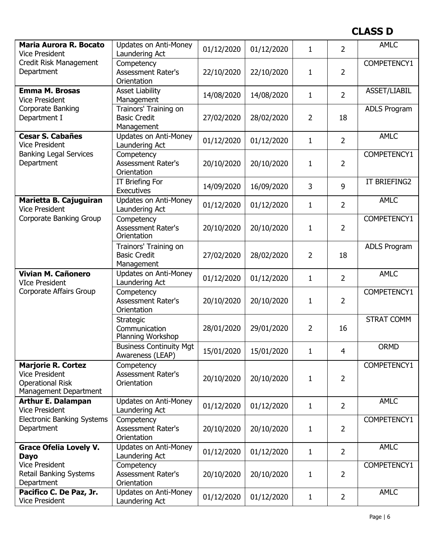| <b>Maria Aurora R. Bocato</b>                    | <b>Updates on Anti-Money</b>                       | 01/12/2020 | 01/12/2020 | $\mathbf{1}$   | 2              | <b>AMLC</b>         |
|--------------------------------------------------|----------------------------------------------------|------------|------------|----------------|----------------|---------------------|
| <b>Vice President</b><br>Credit Risk Management  | Laundering Act<br>Competency                       |            |            |                |                | COMPETENCY1         |
| Department                                       | Assessment Rater's                                 | 22/10/2020 | 22/10/2020 | $\mathbf{1}$   | $\overline{2}$ |                     |
|                                                  | Orientation                                        |            |            |                |                |                     |
| <b>Emma M. Brosas</b>                            | <b>Asset Liability</b>                             |            |            |                | $\overline{2}$ | ASSET/LIABIL        |
| <b>Vice President</b>                            | Management                                         | 14/08/2020 | 14/08/2020 | $\mathbf{1}$   |                |                     |
| Corporate Banking                                | Trainors' Training on                              |            |            |                |                | <b>ADLS Program</b> |
| Department I                                     | <b>Basic Credit</b>                                | 27/02/2020 | 28/02/2020 | $\overline{2}$ | 18             |                     |
|                                                  | Management                                         |            |            |                |                | <b>AMLC</b>         |
| <b>Cesar S. Cabañes</b><br><b>Vice President</b> | <b>Updates on Anti-Money</b><br>Laundering Act     | 01/12/2020 | 01/12/2020 | $\mathbf{1}$   | $\overline{2}$ |                     |
| <b>Banking Legal Services</b>                    | Competency                                         |            |            |                |                | COMPETENCY1         |
| Department                                       | <b>Assessment Rater's</b>                          | 20/10/2020 | 20/10/2020 | 1              | 2              |                     |
|                                                  | Orientation                                        |            |            |                |                |                     |
|                                                  | IT Briefing For                                    |            |            |                |                | IT BRIEFING2        |
|                                                  | <b>Executives</b>                                  | 14/09/2020 | 16/09/2020 | $\overline{3}$ | 9              |                     |
| Marietta B. Cajuguiran                           | <b>Updates on Anti-Money</b>                       | 01/12/2020 | 01/12/2020 | $\mathbf{1}$   | $\overline{2}$ | <b>AMLC</b>         |
| <b>Vice President</b>                            | Laundering Act                                     |            |            |                |                |                     |
| Corporate Banking Group                          | Competency                                         |            |            |                |                | COMPETENCY1         |
|                                                  | Assessment Rater's                                 | 20/10/2020 | 20/10/2020 | $\mathbf{1}$   | $\overline{2}$ |                     |
|                                                  | Orientation                                        |            |            |                |                |                     |
|                                                  | Trainors' Training on<br><b>Basic Credit</b>       | 27/02/2020 | 28/02/2020 | $\overline{2}$ | 18             | <b>ADLS Program</b> |
|                                                  | Management                                         |            |            |                |                |                     |
| Vivian M. Cañonero                               | Updates on Anti-Money                              |            |            |                |                | <b>AMLC</b>         |
| <b>VIce President</b>                            | Laundering Act                                     | 01/12/2020 | 01/12/2020 | $\mathbf{1}$   | $\overline{2}$ |                     |
| Corporate Affairs Group                          | Competency                                         |            |            |                |                | COMPETENCY1         |
|                                                  | <b>Assessment Rater's</b>                          | 20/10/2020 | 20/10/2020 | $\mathbf{1}$   | 2              |                     |
|                                                  | Orientation                                        |            |            |                |                |                     |
|                                                  | Strategic                                          |            |            |                |                | <b>STRAT COMM</b>   |
|                                                  | Communication                                      | 28/01/2020 | 29/01/2020 | $\overline{2}$ | 16             |                     |
|                                                  | Planning Workshop                                  |            |            |                |                |                     |
|                                                  | <b>Business Continuity Mgt</b><br>Awareness (LEAP) | 15/01/2020 | 15/01/2020 | 1              | 4              | <b>ORMD</b>         |
| <b>Marjorie R. Cortez</b>                        | Competency                                         |            |            |                |                | COMPETENCY1         |
| <b>Vice President</b>                            | Assessment Rater's                                 |            |            |                |                |                     |
| <b>Operational Risk</b>                          | Orientation                                        | 20/10/2020 | 20/10/2020 | 1              | 2              |                     |
| Management Department                            |                                                    |            |            |                |                |                     |
| <b>Arthur E. Dalampan</b>                        | <b>Updates on Anti-Money</b>                       | 01/12/2020 | 01/12/2020 | $\mathbf{1}$   | $\overline{2}$ | <b>AMLC</b>         |
| <b>Vice President</b>                            | Laundering Act                                     |            |            |                |                |                     |
| <b>Electronic Banking Systems</b>                | Competency                                         |            |            |                |                | COMPETENCY1         |
| Department                                       | <b>Assessment Rater's</b>                          | 20/10/2020 | 20/10/2020 | 1              | 2              |                     |
|                                                  | Orientation                                        |            |            |                |                |                     |
| <b>Grace Ofelia Lovely V.</b>                    | <b>Updates on Anti-Money</b><br>Laundering Act     | 01/12/2020 | 01/12/2020 | $\mathbf{1}$   | $\overline{2}$ | <b>AMLC</b>         |
| <b>Dayo</b><br><b>Vice President</b>             | Competency                                         |            |            |                |                | COMPETENCY1         |
| <b>Retail Banking Systems</b>                    | <b>Assessment Rater's</b>                          | 20/10/2020 | 20/10/2020 | $\mathbf{1}$   | 2              |                     |
| Department                                       | Orientation                                        |            |            |                |                |                     |
| Pacifico C. De Paz, Jr.                          | <b>Updates on Anti-Money</b>                       |            |            |                |                | <b>AMLC</b>         |
| <b>Vice President</b>                            | Laundering Act                                     | 01/12/2020 | 01/12/2020 | $\mathbf{1}$   | $\overline{2}$ |                     |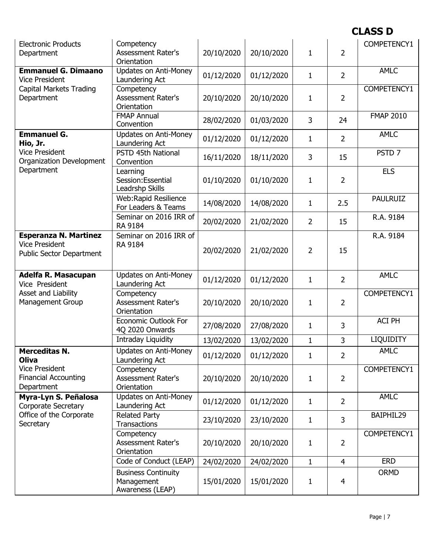| <b>Electronic Products</b><br>Department                                                 | Competency<br><b>Assessment Rater's</b><br>Orientation | 20/10/2020 | 20/10/2020 | $\mathbf{1}$   | 2              | COMPETENCY1       |
|------------------------------------------------------------------------------------------|--------------------------------------------------------|------------|------------|----------------|----------------|-------------------|
| <b>Emmanuel G. Dimaano</b><br><b>Vice President</b>                                      | <b>Updates on Anti-Money</b><br>Laundering Act         | 01/12/2020 | 01/12/2020 | $\mathbf{1}$   | $\overline{2}$ | <b>AMLC</b>       |
| <b>Capital Markets Trading</b><br>Department                                             | Competency<br><b>Assessment Rater's</b><br>Orientation | 20/10/2020 | 20/10/2020 | $\mathbf{1}$   | $\overline{2}$ | COMPETENCY1       |
|                                                                                          | <b>FMAP Annual</b><br>Convention                       | 28/02/2020 | 01/03/2020 | 3              | 24             | <b>FMAP 2010</b>  |
| <b>Emmanuel G.</b><br>Hio, Jr.                                                           | <b>Updates on Anti-Money</b><br>Laundering Act         | 01/12/2020 | 01/12/2020 | $\mathbf{1}$   | $\overline{2}$ | <b>AMLC</b>       |
| <b>Vice President</b><br>Organization Development                                        | PSTD 45th National<br>Convention                       | 16/11/2020 | 18/11/2020 | 3              | 15             | PSTD <sub>7</sub> |
| Department                                                                               | Learning<br>Session: Essential<br>Leadrshp Skills      | 01/10/2020 | 01/10/2020 | $\mathbf{1}$   | 2              | <b>ELS</b>        |
|                                                                                          | Web:Rapid Resilience<br>For Leaders & Teams            | 14/08/2020 | 14/08/2020 | $\mathbf{1}$   | 2.5            | <b>PAULRUIZ</b>   |
|                                                                                          | Seminar on 2016 IRR of<br>RA 9184                      | 20/02/2020 | 21/02/2020 | $\overline{2}$ | 15             | R.A. 9184         |
| <b>Esperanza N. Martinez</b><br><b>Vice President</b><br><b>Public Sector Department</b> | Seminar on 2016 IRR of<br>RA 9184                      | 20/02/2020 | 21/02/2020 | $\overline{2}$ | 15             | R.A. 9184         |
| Adelfa R. Masacupan<br>Vice President                                                    | <b>Updates on Anti-Money</b><br>Laundering Act         | 01/12/2020 | 01/12/2020 | $\mathbf{1}$   | $\overline{2}$ | <b>AMLC</b>       |
| Asset and Liability<br><b>Management Group</b>                                           | Competency<br>Assessment Rater's<br>Orientation        | 20/10/2020 | 20/10/2020 | $\mathbf{1}$   | $\overline{2}$ | COMPETENCY1       |
|                                                                                          | <b>Economic Outlook For</b><br>4Q 2020 Onwards         | 27/08/2020 |            |                |                | ACI PH            |
|                                                                                          |                                                        |            | 27/08/2020 | $\mathbf{1}$   | 3              |                   |
|                                                                                          | Intraday Liquidity                                     | 13/02/2020 | 13/02/2020 | $\mathbf{1}$   | 3              | <b>LIQUIDITY</b>  |
| <b>Merceditas N.</b><br><b>Oliva</b>                                                     | Updates on Anti-Money<br>Laundering Act                | 01/12/2020 | 01/12/2020 | $\mathbf{1}$   | 2              | AMLC              |
| <b>Vice President</b><br><b>Financial Accounting</b><br>Department                       | Competency<br><b>Assessment Rater's</b><br>Orientation | 20/10/2020 | 20/10/2020 | $\mathbf{1}$   | $\overline{2}$ | COMPETENCY1       |
| Myra-Lyn S. Peñalosa<br><b>Corporate Secretary</b>                                       | <b>Updates on Anti-Money</b><br>Laundering Act         | 01/12/2020 | 01/12/2020 | $\mathbf{1}$   | $\overline{2}$ | <b>AMLC</b>       |
| Office of the Corporate<br>Secretary                                                     | <b>Related Party</b><br><b>Transactions</b>            | 23/10/2020 | 23/10/2020 | $\mathbf{1}$   | 3              | BAIPHIL29         |
|                                                                                          | Competency<br><b>Assessment Rater's</b><br>Orientation | 20/10/2020 | 20/10/2020 | $\mathbf{1}$   | $\overline{2}$ | COMPETENCY1       |
|                                                                                          | Code of Conduct (LEAP)                                 | 24/02/2020 | 24/02/2020 | $\mathbf{1}$   | $\overline{4}$ | <b>ERD</b>        |